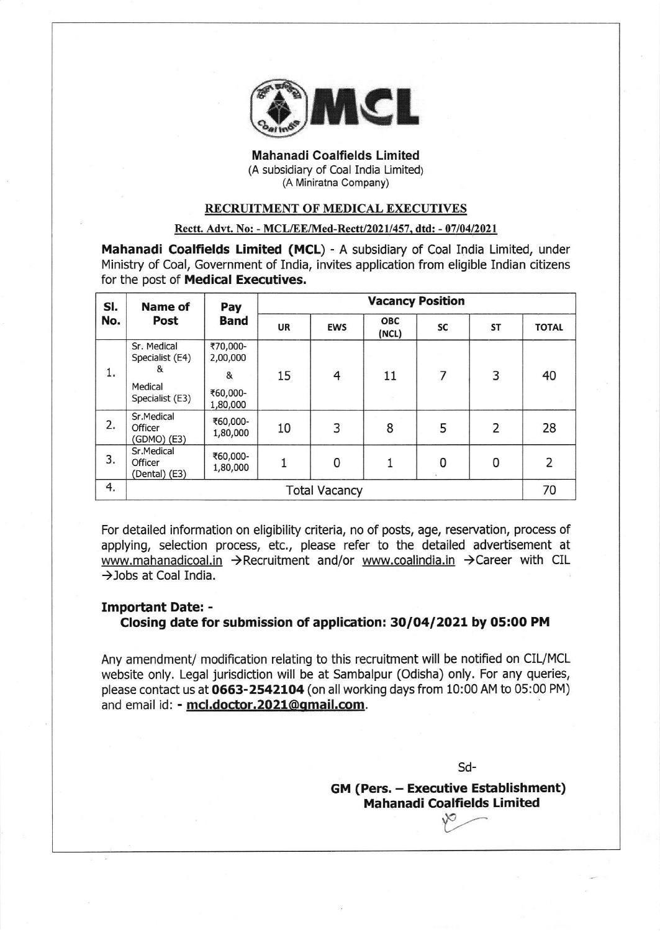

Mahanadi Coalfields Limited (A subsidiary of Coal India Limited) (A Miniratna Company)

### RECRUITMENT OF MEDICAL EXECUTIVES

### Rectt. Advt. No: - MCL/EE/Med-Rectt/2021/457, dtd: - 07/04/2021

Mahanadi Coalfields Limited (MCL) - A subsidiary of Coal India Limited, under Ministry of Coal, Government of India, invites application from eligible Indian citizens for the post of Medical Executives.

| SI. | <b>Name of</b><br>Post                 | Pay<br><b>Band</b>   | <b>Vacancy Position</b> |            |                     |    |           |                |  |  |
|-----|----------------------------------------|----------------------|-------------------------|------------|---------------------|----|-----------|----------------|--|--|
| No. |                                        |                      | <b>UR</b>               | <b>EWS</b> | <b>OBC</b><br>(NCL) | SC | <b>ST</b> | <b>TOTAL</b>   |  |  |
|     | Sr. Medical<br>Specialist (E4)         | ₹70,000-<br>2,00,000 |                         |            |                     |    |           |                |  |  |
| 1.  | &                                      | &                    | 15                      | 4          | 11                  | 7  | 3         | 40             |  |  |
|     | Medical<br>Specialist (E3)             | ₹60,000-<br>1,80,000 |                         |            |                     |    |           |                |  |  |
| 2.  | Sr.Medical<br>Officer<br>(GDMO) (E3)   | ₹60,000-<br>1,80,000 | 10                      | 3          | 8                   | 5  | 2         | 28             |  |  |
| 3.  | Sr.Medical<br>Officer<br>(Dental) (E3) | ₹60,000-<br>1,80,000 |                         | 0          |                     | 0  | 0         | $\overline{2}$ |  |  |
| 4.  | <b>Total Vacancy</b>                   |                      |                         |            |                     |    |           |                |  |  |

For detailed information on eligibility criteria, no of posts, age, reservation, process of applying, selection process, etc., please refer to the detailed advertisement at www.mahanadicoal.in  $\rightarrow$  Recruitment and/or www.coalindia.in  $\rightarrow$  Career with CIL  $\rightarrow$ Jobs at Coal India.

# Important Date: - Closing date for submission of application: 30/04/2021 by 05:00 PM

Any amendment/ modification relating to this recruitment will be notified on CIL/MCL website only. Legal jurisdiction will be at Sambalpur (Odisha) only. For any queries, please contact us at 0663-2542104 (on all working days from 10:00 AM to 05:00 PM) and email id: - mcl.doctor.2021@qmail.com.

sd-

GM (Pers. - Executive Establishment) Mahanadi Coa!fields Limited  $\sqrt{2}$